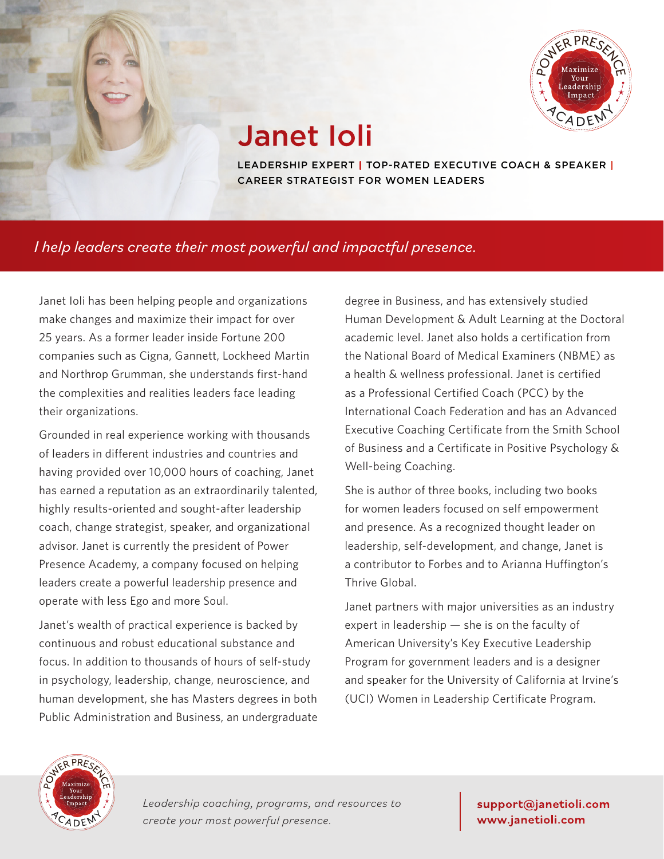

## Janet Ioli

LEADERSHIP EXPERT | TOP-RATED EXECUTIVE COACH & SPEAKER | CAREER STRATEGIST FOR WOMEN LEADERS

### *I help leaders create their most powerful and impactful presence.*

Janet Ioli has been helping people and organizations make changes and maximize their impact for over 25 years. As a former leader inside Fortune 200 companies such as Cigna, Gannett, Lockheed Martin and Northrop Grumman, she understands first-hand the complexities and realities leaders face leading their organizations.

Grounded in real experience working with thousands of leaders in different industries and countries and having provided over 10,000 hours of coaching, Janet has earned a reputation as an extraordinarily talented, highly results-oriented and sought-after leadership coach, change strategist, speaker, and organizational advisor. Janet is currently the president of Power Presence Academy, a company focused on helping leaders create a powerful leadership presence and operate with less Ego and more Soul.

Janet's wealth of practical experience is backed by continuous and robust educational substance and focus. In addition to thousands of hours of self-study in psychology, leadership, change, neuroscience, and human development, she has Masters degrees in both Public Administration and Business, an undergraduate

degree in Business, and has extensively studied Human Development & Adult Learning at the Doctoral academic level. Janet also holds a certification from the National Board of Medical Examiners (NBME) as a health & wellness professional. Janet is certified as a Professional Certified Coach (PCC) by the International Coach Federation and has an Advanced Executive Coaching Certificate from the Smith School of Business and a Certificate in Positive Psychology & Well-being Coaching.

She is author of three books, including two books for women leaders focused on self empowerment and presence. As a recognized thought leader on leadership, self-development, and change, Janet is a contributor to Forbes and to Arianna Huffington's Thrive Global.

Janet partners with major universities as an industry expert in leadership — she is on the faculty of American University's Key Executive Leadership Program for government leaders and is a designer and speaker for the University of California at Irvine's (UCI) Women in Leadership Certificate Program.



*Leadership coaching, programs, and resources to create your most powerful presence.*

support@janetioli.com www.janetioli.com